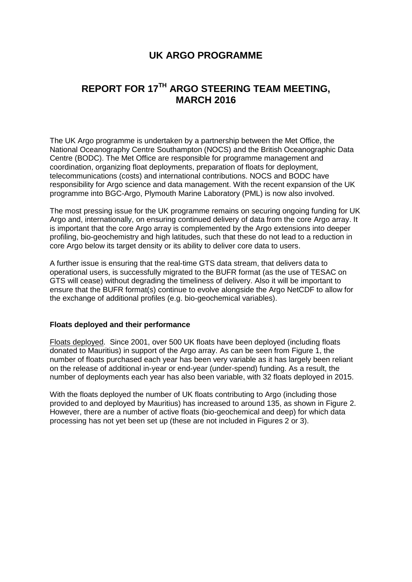# **UK ARGO PROGRAMME**

# **REPORT FOR 17TH ARGO STEERING TEAM MEETING, MARCH 2016**

The UK Argo programme is undertaken by a partnership between the [Met Office,](http://www.metoffice.gov.uk/) the [National Oceanography Centre Southampton \(NOCS\)](http://www.noc.soton.ac.uk/) and the [British Oceanographic Data](http://www.bodc.ac.uk/)  [Centre \(BODC\).](http://www.bodc.ac.uk/) The Met Office are responsible for programme management and coordination, organizing float deployments, preparation of floats for deployment, telecommunications (costs) and international contributions. NOCS and BODC have responsibility for Argo science and data management. With the recent expansion of the UK programme into BGC-Argo, Plymouth Marine Laboratory (PML) is now also involved.

The most pressing issue for the UK programme remains on securing ongoing funding for UK Argo and, internationally, on ensuring continued delivery of data from the core Argo array. It is important that the core Argo array is complemented by the Argo extensions into deeper profiling, bio-geochemistry and high latitudes, such that these do not lead to a reduction in core Argo below its target density or its ability to deliver core data to users.

A further issue is ensuring that the real-time GTS data stream, that delivers data to operational users, is successfully migrated to the BUFR format (as the use of TESAC on GTS will cease) without degrading the timeliness of delivery. Also it will be important to ensure that the BUFR format(s) continue to evolve alongside the Argo NetCDF to allow for the exchange of additional profiles (e.g. bio-geochemical variables).

#### **Floats deployed and their performance**

Floats deployed. Since 2001, over 500 UK floats have been deployed (including floats donated to Mauritius) in support of the Argo array. As can be seen from Figure 1, the number of floats purchased each year has been very variable as it has largely been reliant on the release of additional in-year or end-year (under-spend) funding. As a result, the number of deployments each year has also been variable, with 32 floats deployed in 2015.

With the floats deployed the number of UK floats contributing to Argo (including those provided to and deployed by Mauritius) has increased to around 135, as shown in Figure 2. However, there are a number of active floats (bio-geochemical and deep) for which data processing has not yet been set up (these are not included in Figures 2 or 3).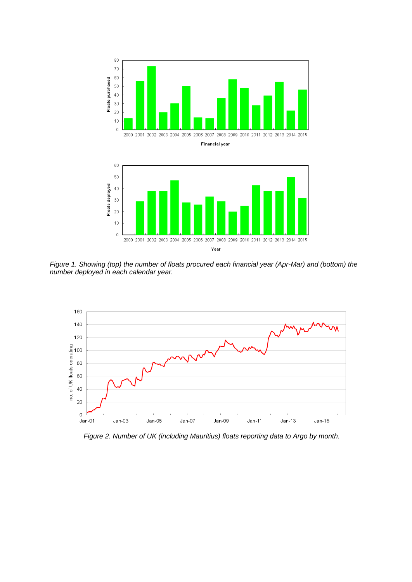



*Figure 1. Showing (top) the number of floats procured each financial year (Apr-Mar) and (bottom) the number deployed in each calendar year.*



*Figure 2. Number of UK (including Mauritius) floats reporting data to Argo by month.*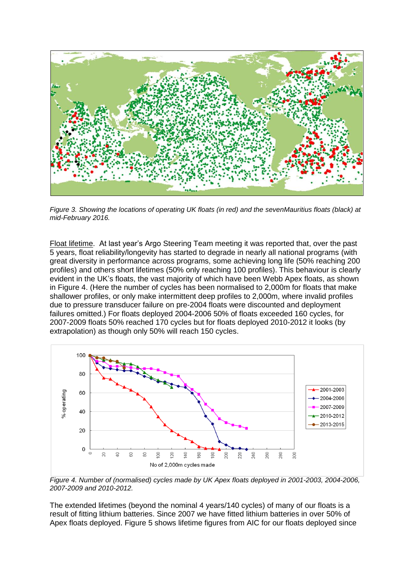

*Figure 3. Showing the locations of operating UK floats (in red) and the sevenMauritius floats (black) at mid-February 2016.* 

Float lifetime. At last year's Argo Steering Team meeting it was reported that, over the past 5 years, float reliability/longevity has started to degrade in nearly all national programs (with great diversity in performance across programs, some achieving long life (50% reaching 200 profiles) and others short lifetimes (50% only reaching 100 profiles). This behaviour is clearly evident in the UK's floats, the vast majority of which have been Webb Apex floats, as shown in Figure 4. (Here the number of cycles has been normalised to 2,000m for floats that make shallower profiles, or only make intermittent deep profiles to 2,000m, where invalid profiles due to pressure transducer failure on pre-2004 floats were discounted and deployment failures omitted.) For floats deployed 2004-2006 50% of floats exceeded 160 cycles, for 2007-2009 floats 50% reached 170 cycles but for floats deployed 2010-2012 it looks (by extrapolation) as though only 50% will reach 150 cycles.



*Figure 4. Number of (normalised) cycles made by UK Apex floats deployed in 2001-2003, 2004-2006, 2007-2009 and 2010-2012.*

The extended lifetimes (beyond the nominal 4 years/140 cycles) of many of our floats is a result of fitting lithium batteries. Since 2007 we have fitted lithium batteries in over 50% of Apex floats deployed. Figure 5 shows lifetime figures from AIC for our floats deployed since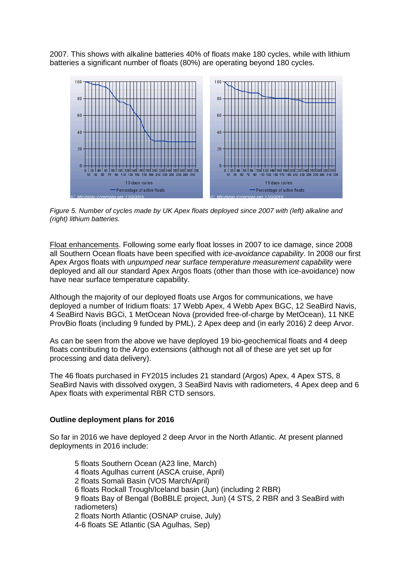2007. This shows with alkaline batteries 40% of floats make 180 cycles, while with lithium batteries a significant number of floats (80%) are operating beyond 180 cycles.



*Figure 5. Number of cycles made by UK Apex floats deployed since 2007 with (left) alkaline and (right) lithium batteries.*

Float enhancements. Following some early float losses in 2007 to ice damage, since 2008 all Southern Ocean floats have been specified with *ice-avoidance capability*. In 2008 our first Apex Argos floats with *unpumped near surface temperature measurement capability* were deployed and all our standard Apex Argos floats (other than those with ice-avoidance) now have near surface temperature capability.

Although the majority of our deployed floats use Argos for communications, we have deployed a number of Iridium floats: 17 Webb Apex, 4 Webb Apex BGC, 12 SeaBird Navis, 4 SeaBird Navis BGCi, 1 MetOcean Nova (provided free-of-charge by MetOcean), 11 NKE ProvBio floats (including 9 funded by PML), 2 Apex deep and (in early 2016) 2 deep Arvor.

As can be seen from the above we have deployed 19 bio-geochemical floats and 4 deep floats contributing to the Argo extensions (although not all of these are yet set up for processing and data delivery).

The 46 floats purchased in FY2015 includes 21 standard (Argos) Apex, 4 Apex STS, 8 SeaBird Navis with dissolved oxygen, 3 SeaBird Navis with radiometers, 4 Apex deep and 6 Apex floats with experimental RBR CTD sensors.

#### **Outline deployment plans for 2016**

So far in 2016 we have deployed 2 deep Arvor in the North Atlantic. At present planned deployments in 2016 include:

5 floats Southern Ocean (A23 line, March) 4 floats Agulhas current (ASCA cruise, April) 2 floats Somali Basin (VOS March/April) 6 floats Rockall Trough/Iceland basin (Jun) (including 2 RBR) 9 floats Bay of Bengal (BoBBLE project, Jun) (4 STS, 2 RBR and 3 SeaBird with radiometers) 2 floats North Atlantic (OSNAP cruise, July) 4-6 floats SE Atlantic (SA Agulhas, Sep)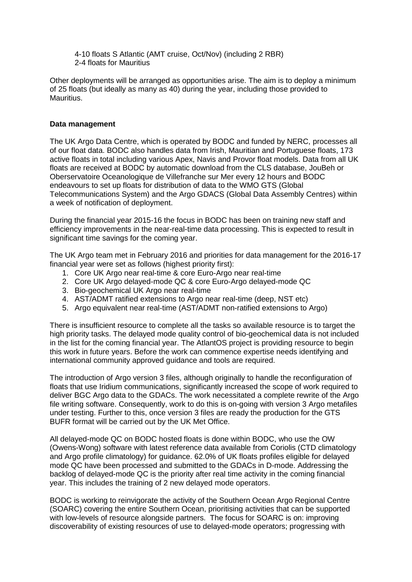4-10 floats S Atlantic (AMT cruise, Oct/Nov) (including 2 RBR) 2-4 floats for Mauritius

Other deployments will be arranged as opportunities arise. The aim is to deploy a minimum of 25 floats (but ideally as many as 40) during the year, including those provided to **Mauritius.** 

#### **Data management**

The UK Argo Data Centre, which is operated by BODC and funded by NERC, processes all of our float data. BODC also handles data from Irish, Mauritian and Portuguese floats, 173 active floats in total including various Apex, Navis and Provor float models. Data from all UK floats are received at BODC by automatic download from the CLS database, JouBeh or Oberservatoire Oceanologique de Villefranche sur Mer every 12 hours and BODC endeavours to set up floats for distribution of data to the WMO GTS (Global Telecommunications System) and the Argo GDACS (Global Data Assembly Centres) within a week of notification of deployment.

During the financial year 2015-16 the focus in BODC has been on training new staff and efficiency improvements in the near-real-time data processing. This is expected to result in significant time savings for the coming year.

The UK Argo team met in February 2016 and priorities for data management for the 2016-17 financial year were set as follows (highest priority first):

- 1. Core UK Argo near real-time & core Euro-Argo near real-time
- 2. Core UK Argo delayed-mode QC & core Euro-Argo delayed-mode QC
- 3. Bio-geochemical UK Argo near real-time
- 4. AST/ADMT ratified extensions to Argo near real-time (deep, NST etc)
- 5. Argo equivalent near real-time (AST/ADMT non-ratified extensions to Argo)

There is insufficient resource to complete all the tasks so available resource is to target the high priority tasks. The delayed mode quality control of bio-geochemical data is not included in the list for the coming financial year. The AtlantOS project is providing resource to begin this work in future years. Before the work can commence expertise needs identifying and international community approved guidance and tools are required.

The introduction of Argo version 3 files, although originally to handle the reconfiguration of floats that use Iridium communications, significantly increased the scope of work required to deliver BGC Argo data to the GDACs. The work necessitated a complete rewrite of the Argo file writing software. Consequently, work to do this is on-going with version 3 Argo metafiles under testing. Further to this, once version 3 files are ready the production for the GTS BUFR format will be carried out by the UK Met Office.

All delayed-mode QC on BODC hosted floats is done within BODC, who use the OW (Owens-Wong) software with latest reference data available from Coriolis (CTD climatology and Argo profile climatology) for guidance. 62.0% of UK floats profiles eligible for delayed mode QC have been processed and submitted to the GDACs in D-mode. Addressing the backlog of delayed-mode QC is the priority after real time activity in the coming financial year. This includes the training of 2 new delayed mode operators.

BODC is working to reinvigorate the activity of the Southern Ocean Argo Regional Centre (SOARC) covering the entire Southern Ocean, prioritising activities that can be supported with low-levels of resource alongside partners. The focus for SOARC is on: improving discoverability of existing resources of use to delayed-mode operators; progressing with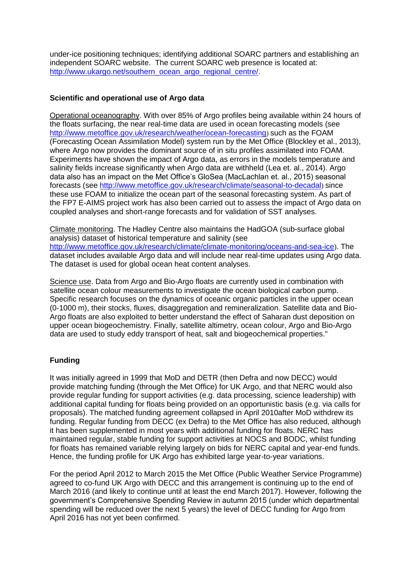under-ice positioning techniques; identifying additional SOARC partners and establishing an independent SOARC website. The current SOARC web presence is located at: [http://www.ukargo.net/southern\\_ocean\\_argo\\_regional\\_centre/.](http://www.ukargo.net/southern_ocean_argo_regional_centre/)

### **Scientific and operational use of Argo data**

Operational oceanography. With over 85% of Argo profiles being available within 24 hours of the floats surfacing, the near real-time data are used in ocean forecasting models (see <http://www.metoffice.gov.uk/research/weather/ocean-forecasting>) such as the FOAM (Forecasting Ocean Assimilation Model) system run by the Met Office (Blockley et al., 2013), where Argo now provides the dominant source of in situ profiles assimilated into FOAM. Experiments have shown the impact of Argo data, as errors in the models temperature and salinity fields increase significantly when Argo data are withheld (Lea et. al., 2014). Argo data also has an impact on the Met Office's GloSea (MacLachlan et. al., 2015) seasonal forecasts (see<http://www.metoffice.gov.uk/research/climate/seasonal-to-decadal>) since these use FOAM to initialize the ocean part of the seasonal forecasting system. As part of the FP7 E-AIMS project work has also been carried out to assess the impact of Argo data on coupled analyses and short-range forecasts and for validation of SST analyses.

Climate monitoring. The Hadley Centre also maintains the [HadGOA](http://www.hadobs.org/) (sub-surface global analysis) dataset of historical temperature and salinity (see <http://www.metoffice.gov.uk/research/climate/climate-monitoring/oceans-and-sea-ice>). The dataset includes available Argo data and will include near real-time updates using Argo data. The dataset is used for global ocean heat content analyses.

Science use. Data from Argo and Bio-Argo floats are currently used in combination with satellite ocean colour measurements to investigate the ocean biological carbon pump. Specific research focuses on the dynamics of oceanic organic particles in the upper ocean (0-1000 m), their stocks, fluxes, disaggregation and remineralization. Satellite data and Bio-Argo floats are also exploited to better understand the effect of Saharan dust deposition on upper ocean biogeochemistry. Finally, satellite altimetry, ocean colour, Argo and Bio-Argo data are used to study eddy transport of heat, salt and biogeochemical properties."

## **Funding**

It was initially agreed in 1999 that MoD and DETR (then Defra and now DECC) would provide matching funding (through the Met Office) for UK Argo, and that NERC would also provide regular funding for support activities (e.g. data processing, science leadership) with additional capital funding for floats being provided on an opportunistic basis (e.g. via calls for proposals). The matched funding agreement collapsed in April 2010after MoD withdrew its funding. Regular funding from DECC (ex Defra) to the Met Office has also reduced, although it has been supplemented in most years with additional funding for floats. NERC has maintained regular, stable funding for support activities at NOCS and BODC, whilst funding for floats has remained variable relying largely on bids for NERC capital and year-end funds. Hence, the funding profile for UK Argo has exhibited large year-to-year variations.

For the period April 2012 to March 2015 the Met Office (Public Weather Service Programme) agreed to co-fund UK Argo with DECC and this arrangement is continuing up to the end of March 2016 (and likely to continue until at least the end March 2017). However, following the government's Comprehensive Spending Review in autumn 2015 (under which departmental spending will be reduced over the next 5 years) the level of DECC funding for Argo from April 2016 has not yet been confirmed.